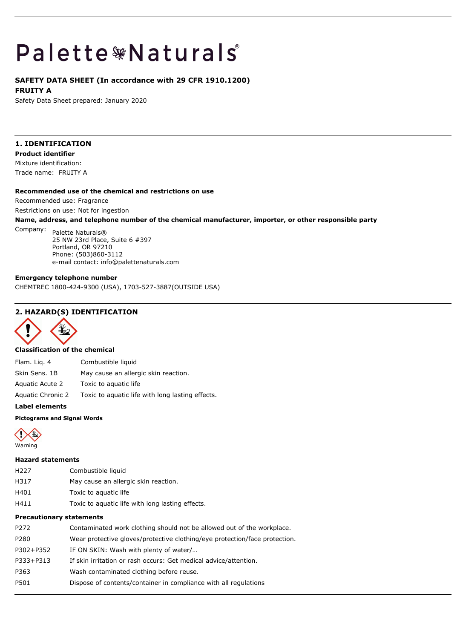# **Palette \*Naturals**

### **SAFETY DATA SHEET (In accordance with 29 CFR 1910.1200)**

**FRUITY A**

Safety Data Sheet prepared: January 2020

### **1. IDENTIFICATION**

**Product identifier**

Mixture identification: Trade name: FRUITY A

### **Recommended use of the chemical and restrictions on use**

Recommended use: Fragrance

Restrictions on use: Not for ingestion

**Name, address, and telephone number of the chemical manufacturer, importer, or other responsible party**

Company: Palette Naturals® 25 NW 23rd Place, Suite 6 #397 Portland, OR 97210 Phone: (503)860-3112 e-mail contact: info@palettenaturals.com

### **Emergency telephone number**

CHEMTREC 1800-424-9300 (USA), 1703-527-3887(OUTSIDE USA)

### **2. HAZARD(S) IDENTIFICATION**



### **Classification of the chemical**

Flam. Liq. 4 Combustible liquid Skin Sens. 1B May cause an allergic skin reaction. Aquatic Acute 2 Toxic to aquatic life

Aquatic Chronic 2 Toxic to aquatic life with long lasting effects.

### **Label elements**

### **Pictograms and Signal Words**



### **Hazard statements**

- H227 Combustible liquid
- H317 May cause an allergic skin reaction.
- H401 Toxic to aquatic life
- H411 Toxic to aquatic life with long lasting effects.

### **Precautionary statements**

| P272      | Contaminated work clothing should not be allowed out of the workplace.     |
|-----------|----------------------------------------------------------------------------|
| P280      | Wear protective gloves/protective clothing/eye protection/face protection. |
| P302+P352 | IF ON SKIN: Wash with plenty of water/                                     |
| P333+P313 | If skin irritation or rash occurs: Get medical advice/attention.           |
| P363      | Wash contaminated clothing before reuse.                                   |
| P501      | Dispose of contents/container in compliance with all regulations           |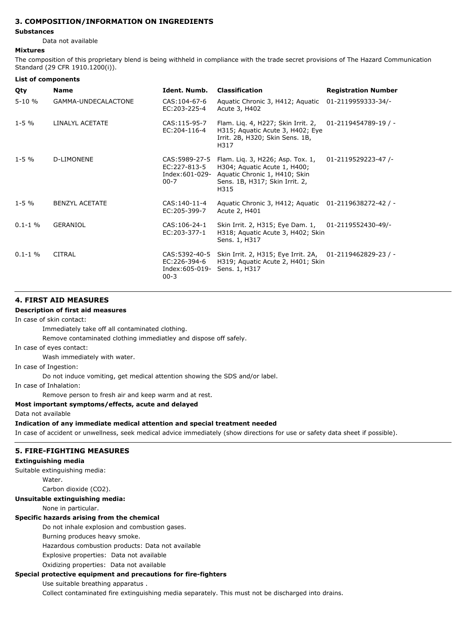### **3. COMPOSITION/INFORMATION ON INGREDIENTS**

### **Substances**

Data not available

### **Mixtures**

The composition of this proprietary blend is being withheld in compliance with the trade secret provisions of The Hazard Communication Standard (29 CFR 1910.1200(i)).

| List of components |                       |                                                               |                                                                                                                                             |                            |
|--------------------|-----------------------|---------------------------------------------------------------|---------------------------------------------------------------------------------------------------------------------------------------------|----------------------------|
| Qty                | <b>Name</b>           | Ident. Numb.                                                  | <b>Classification</b>                                                                                                                       | <b>Registration Number</b> |
| $5 - 10%$          | GAMMA-UNDECALACTONE   | CAS: 104-67-6<br>EC:203-225-4                                 | Aquatic Chronic 3, H412; Aquatic<br>Acute 3, H402                                                                                           | 01-2119959333-34/-         |
| $1 - 5 \%$         | LINALYL ACETATE       | CAS: 115-95-7<br>EC:204-116-4                                 | Flam. Lig. 4, H227; Skin Irrit. 2,<br>H315; Aquatic Acute 3, H402; Eye<br>Irrit. 2B, H320; Skin Sens. 1B,<br>H317                           | 01-2119454789-19 / -       |
| $1 - 5\%$          | D-LIMONENE            | CAS: 5989-27-5<br>EC:227-813-5<br>Index:601-029-<br>$00 - 7$  | Flam. Lig. 3, H226; Asp. Tox. 1,<br>H304; Aquatic Acute 1, H400;<br>Aquatic Chronic 1, H410; Skin<br>Sens. 1B, H317; Skin Irrit. 2,<br>H315 | 01-2119529223-47/-         |
| $1 - 5 \%$         | <b>BENZYL ACETATE</b> | CAS: 140-11-4<br>EC:205-399-7                                 | Aquatic Chronic 3, H412; Aquatic<br>Acute 2, H401                                                                                           | 01-2119638272-42 / -       |
| $0.1 - 1$ %        | GERANIOL              | CAS: 106-24-1<br>EC:203-377-1                                 | Skin Irrit. 2, H315; Eye Dam. 1,<br>H318; Aquatic Acute 3, H402; Skin<br>Sens. 1, H317                                                      | 01-2119552430-49/-         |
| $0.1 - 1\%$        | <b>CITRAL</b>         | CAS: 5392-40-5<br>EC:226-394-6<br>Index: 605-019-<br>$00 - 3$ | Skin Irrit. 2, H315; Eye Irrit. 2A, 01-2119462829-23 / -<br>H319; Aquatic Acute 2, H401; Skin<br>Sens. 1, H317                              |                            |

### **4. FIRST AID MEASURES**

### **Description of first aid measures**

In case of skin contact:

Immediately take off all contaminated clothing.

Remove contaminated clothing immediatley and dispose off safely.

In case of eyes contact:

Wash immediately with water.

In case of Ingestion:

Do not induce vomiting, get medical attention showing the SDS and/or label.

In case of Inhalation:

Remove person to fresh air and keep warm and at rest.

**Most important symptoms/effects, acute and delayed**

Data not available

**Indication of any immediate medical attention and special treatment needed**

In case of accident or unwellness, seek medical advice immediately (show directions for use or safety data sheet if possible).

### **5. FIRE-FIGHTING MEASURES**

### **Extinguishing media**

Suitable extinguishing media:

Water.

Carbon dioxide (CO2).

### **Unsuitable extinguishing media:**

None in particular.

### **Specific hazards arising from the chemical**

Do not inhale explosion and combustion gases.

Burning produces heavy smoke.

Hazardous combustion products: Data not available

Explosive properties: Data not available

Oxidizing properties: Data not available

### **Special protective equipment and precautions for fire-fighters**

Use suitable breathing apparatus .

Collect contaminated fire extinguishing media separately. This must not be discharged into drains.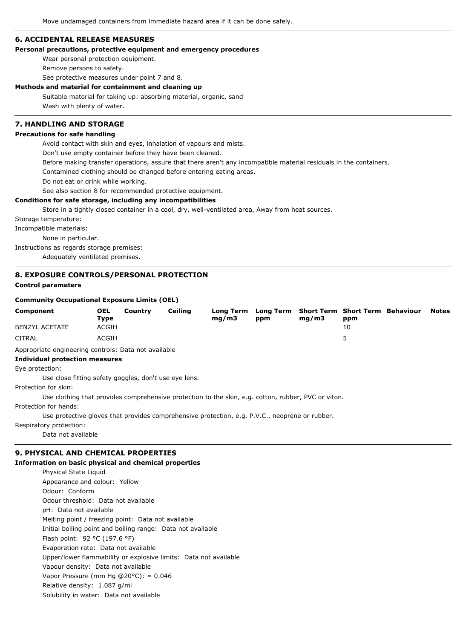### **6. ACCIDENTAL RELEASE MEASURES**

### **Personal precautions, protective equipment and emergency procedures**

Wear personal protection equipment.

Remove persons to safety.

See protective measures under point 7 and 8.

### **Methods and material for containment and cleaning up**

Suitable material for taking up: absorbing material, organic, sand Wash with plenty of water.

### **7. HANDLING AND STORAGE**

### **Precautions for safe handling**

Avoid contact with skin and eyes, inhalation of vapours and mists.

Don't use empty container before they have been cleaned.

Before making transfer operations, assure that there aren't any incompatible material residuals in the containers.

Contamined clothing should be changed before entering eating areas.

Do not eat or drink while working.

See also section 8 for recommended protective equipment.

### **Conditions for safe storage, including any incompatibilities**

Store in a tightly closed container in a cool, dry, well-ventilated area, Away from heat sources.

Storage temperature:

Incompatible materials:

None in particular.

Instructions as regards storage premises:

Adequately ventilated premises.

### **8. EXPOSURE CONTROLS/PERSONAL PROTECTION Control parameters**

#### **Community Occupational Exposure Limits (OEL)**

| Component             | <b>OEL</b><br>Type | Country | Ceiling | Long Term Long Term Short Term Short Term Behaviour Notes<br>ma/m3 | ppm | ma/m3 | ppm |  |
|-----------------------|--------------------|---------|---------|--------------------------------------------------------------------|-----|-------|-----|--|
| <b>BENZYL ACETATE</b> | ACGIH              |         |         |                                                                    |     |       | 10  |  |
| CITRAL                | ACGIH              |         |         |                                                                    |     |       |     |  |

Appropriate engineering controls: Data not available

### **Individual protection measures**

Eye protection:

Use close fitting safety goggles, don't use eye lens.

Protection for skin:

Use clothing that provides comprehensive protection to the skin, e.g. cotton, rubber, PVC or viton.

Protection for hands:

Use protective gloves that provides comprehensive protection, e.g. P.V.C., neoprene or rubber.

Respiratory protection:

Data not available

### **9. PHYSICAL AND CHEMICAL PROPERTIES**

### **Information on basic physical and chemical properties**

Physical State Liquid Appearance and colour: Yellow Odour: Conform Odour threshold: Data not available pH: Data not available Melting point / freezing point: Data not available Initial boiling point and boiling range: Data not available Flash point: 92 °C (197.6 °F) Evaporation rate: Data not available Upper/lower flammability or explosive limits: Data not available Vapour density: Data not available Vapor Pressure (mm Hg @20 $^{\circ}$ C): = 0.046 Relative density: 1.087 g/ml Solubility in water: Data not available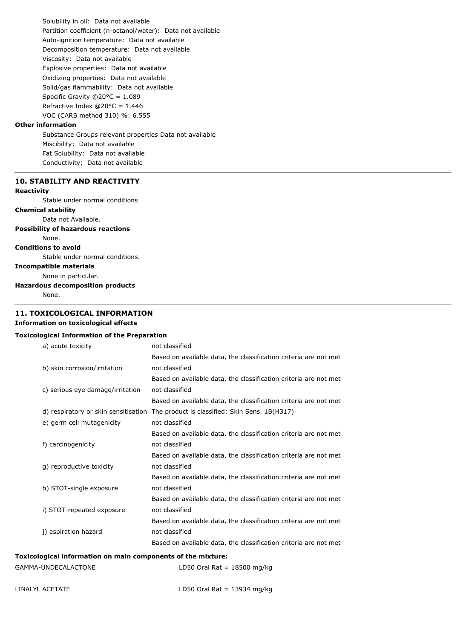Solubility in oil: Data not available Partition coefficient (n-octanol/water): Data not available Auto-ignition temperature: Data not available Decomposition temperature: Data not available Viscosity: Data not available Explosive properties: Data not available Oxidizing properties: Data not available Solid/gas flammability: Data not available Specific Gravity @20°C = 1.089 Refractive Index  $@20°C = 1.446$ VOC (CARB method 310) %: 6.555

### **Other information**

Substance Groups relevant properties Data not available Miscibility: Data not available Fat Solubility: Data not available Conductivity: Data not available

### **10. STABILITY AND REACTIVITY**

### **Reactivity**

Stable under normal conditions

**Chemical stability**

Data not Available.

### **Possibility of hazardous reactions**

None.

**Conditions to avoid**

Stable under normal conditions.

**Incompatible materials** None in particular.

### **Hazardous decomposition products**

None.

### **11. TOXICOLOGICAL INFORMATION**

### **Information on toxicological effects**

### **Toxicological Information of the Preparation**

| a) acute toxicity                                            | not classified                                                   |  |
|--------------------------------------------------------------|------------------------------------------------------------------|--|
|                                                              | Based on available data, the classification criteria are not met |  |
| b) skin corrosion/irritation                                 | not classified                                                   |  |
|                                                              | Based on available data, the classification criteria are not met |  |
| c) serious eye damage/irritation                             | not classified                                                   |  |
|                                                              | Based on available data, the classification criteria are not met |  |
| d) respiratory or skin sensitisation                         | The product is classified: Skin Sens. 1B(H317)                   |  |
| e) germ cell mutagenicity                                    | not classified                                                   |  |
|                                                              | Based on available data, the classification criteria are not met |  |
| f) carcinogenicity                                           | not classified                                                   |  |
|                                                              | Based on available data, the classification criteria are not met |  |
| g) reproductive toxicity                                     | not classified                                                   |  |
|                                                              | Based on available data, the classification criteria are not met |  |
| h) STOT-single exposure                                      | not classified                                                   |  |
|                                                              | Based on available data, the classification criteria are not met |  |
| i) STOT-repeated exposure                                    | not classified                                                   |  |
|                                                              | Based on available data, the classification criteria are not met |  |
| j) aspiration hazard                                         | not classified                                                   |  |
|                                                              | Based on available data, the classification criteria are not met |  |
| Toxicological information on main components of the mixture: |                                                                  |  |

| GAMMA-UNDECALACTONE | LD50 Oral Rat = $18500$ mg/kg |
|---------------------|-------------------------------|
|---------------------|-------------------------------|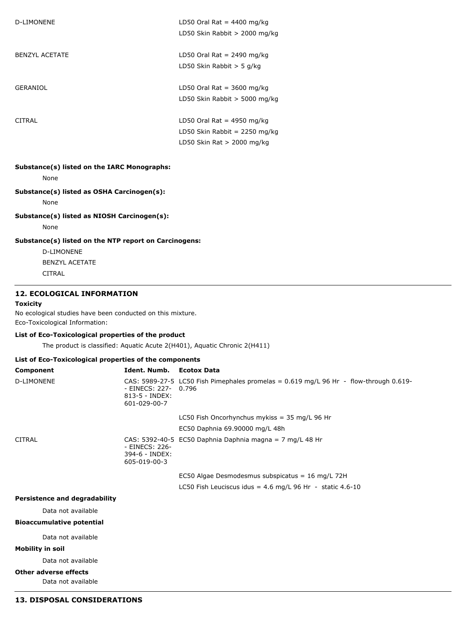| D-LIMONENE            | LD50 Oral Rat = $4400$ mg/kg<br>LD50 Skin Rabbit $> 2000$ mg/kg                               |
|-----------------------|-----------------------------------------------------------------------------------------------|
| <b>BENZYL ACETATE</b> | LD50 Oral Rat = $2490$ mg/kg<br>LD50 Skin Rabbit $>$ 5 g/kg                                   |
| GERANIOL              | LD50 Oral Rat = $3600$ mg/kg<br>LD50 Skin Rabbit $>$ 5000 mg/kg                               |
| CITRAL                | LD50 Oral Rat = $4950$ mg/kg<br>LD50 Skin Rabbit = 2250 mg/kg<br>LD50 Skin Rat $> 2000$ mg/kg |

### **Substance(s) listed on the IARC Monographs:**

None

## **Substance(s) listed as OSHA Carcinogen(s):**

None

### **Substance(s) listed as NIOSH Carcinogen(s):**

None

### **Substance(s) listed on the NTP report on Carcinogens:**

D-LIMONENE BENZYL ACETATE CITRAL

### **12. ECOLOGICAL INFORMATION**

### **Toxicity**

No ecological studies have been conducted on this mixture. Eco-Toxicological Information:

### **List of Eco-Toxicological properties of the product**

The product is classified: Aquatic Acute 2(H401), Aquatic Chronic 2(H411)

### **List of Eco-Toxicological properties of the components**

| Component         | Ident. Numb. Ecotox Data                                    |                                                                                                                               |
|-------------------|-------------------------------------------------------------|-------------------------------------------------------------------------------------------------------------------------------|
| <b>D-LIMONENE</b> | - EINECS: 227- 0.796<br>$813 - 5 - INDEX$ :<br>601-029-00-7 | CAS: 5989-27-5 LC50 Fish Pimephales promelas = $0.619$ mg/L 96 Hr - flow-through $0.619$ -                                    |
|                   |                                                             | LC50 Fish Oncorhynchus mykiss = $35$ mg/L 96 Hr                                                                               |
|                   |                                                             | EC50 Daphnia 69.90000 mg/L 48h                                                                                                |
| <b>CITRAL</b>     | - EINECS: 226-<br>394-6 - INDEX:<br>605-019-00-3            | CAS: 5392-40-5 EC50 Daphnia Daphnia magna = 7 mg/L 48 Hr                                                                      |
|                   |                                                             | EC50 Algae Desmodesmus subspicatus = $16 \text{ mg/L}$ 72H<br>LC50 Fish Leuciscus idus = $4.6$ mg/L 96 Hr - static $4.6 - 10$ |

### **Persistence and degradability**

Data not available

### **Bioaccumulative potential**

Data not available

### **Mobility in soil**

Data not available

### **Other adverse effects**

Data not available

### **13. DISPOSAL CONSIDERATIONS**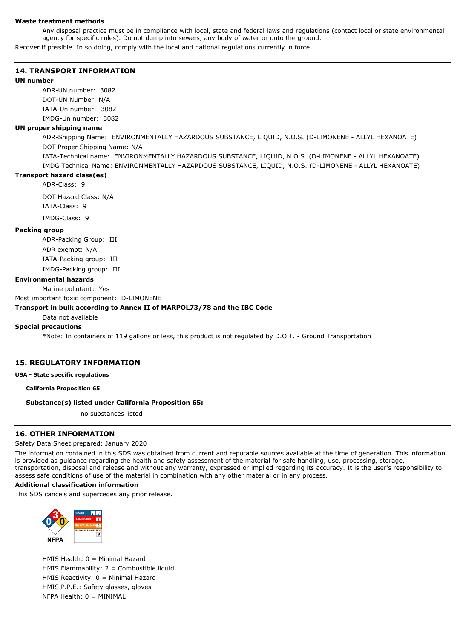#### **Waste treatment methods**

Any disposal practice must be in compliance with local, state and federal laws and regulations (contact local or state environmental agency for specific rules). Do not dump into sewers, any body of water or onto the ground.

Recover if possible. In so doing, comply with the local and national regulations currently in force.

### **14. TRANSPORT INFORMATION**

### **UN number**

ADR-UN number: 3082 DOT-UN Number: N/A IATA-Un number: 3082 IMDG-Un number: 3082

### **UN proper shipping name**

ADR-Shipping Name: ENVIRONMENTALLY HAZARDOUS SUBSTANCE, LIQUID, N.O.S. (D-LIMONENE - ALLYL HEXANOATE) DOT Proper Shipping Name: N/A

IATA-Technical name: ENVIRONMENTALLY HAZARDOUS SUBSTANCE, LIQUID, N.O.S. (D-LIMONENE - ALLYL HEXANOATE) IMDG Technical Name: ENVIRONMENTALLY HAZARDOUS SUBSTANCE, LIQUID, N.O.S. (D-LIMONENE - ALLYL HEXANOATE)

### **Transport hazard class(es)**

ADR-Class: 9

DOT Hazard Class: N/A IATA-Class: 9 IMDG-Class: 9

#### **Packing group**

ADR-Packing Group: III ADR exempt: N/A IATA-Packing group: III IMDG-Packing group: III

#### **Environmental hazards**

Marine pollutant: Yes

Most important toxic component: D-LIMONENE

#### **Transport in bulk according to Annex II of MARPOL73/78 and the IBC Code**

Data not available

### **Special precautions**

\*Note: In containers of 119 gallons or less, this product is not regulated by D.O.T. - Ground Transportation

### **15. REGULATORY INFORMATION**

**USA - State specific regulations**

**California Proposition 65**

### **Substance(s) listed under California Proposition 65:**

no substances listed

### **16. OTHER INFORMATION**

### Safety Data Sheet prepared: January 2020

The information contained in this SDS was obtained from current and reputable sources available at the time of generation. This information is provided as guidance regarding the health and safety assessment of the material for safe handling, use, processing, storage, transportation, disposal and release and without any warranty, expressed or implied regarding its accuracy. It is the user's responsibility to assess safe conditions of use of the material in combination with any other material or in any process.

#### **Additional classification information**

This SDS cancels and supercedes any prior release.



HMIS Health: 0 = Minimal Hazard HMIS Flammability: 2 = Combustible liquid HMIS Reactivity: 0 = Minimal Hazard HMIS P.P.E.: Safety glasses, gloves NFPA Health: 0 = MINIMAL